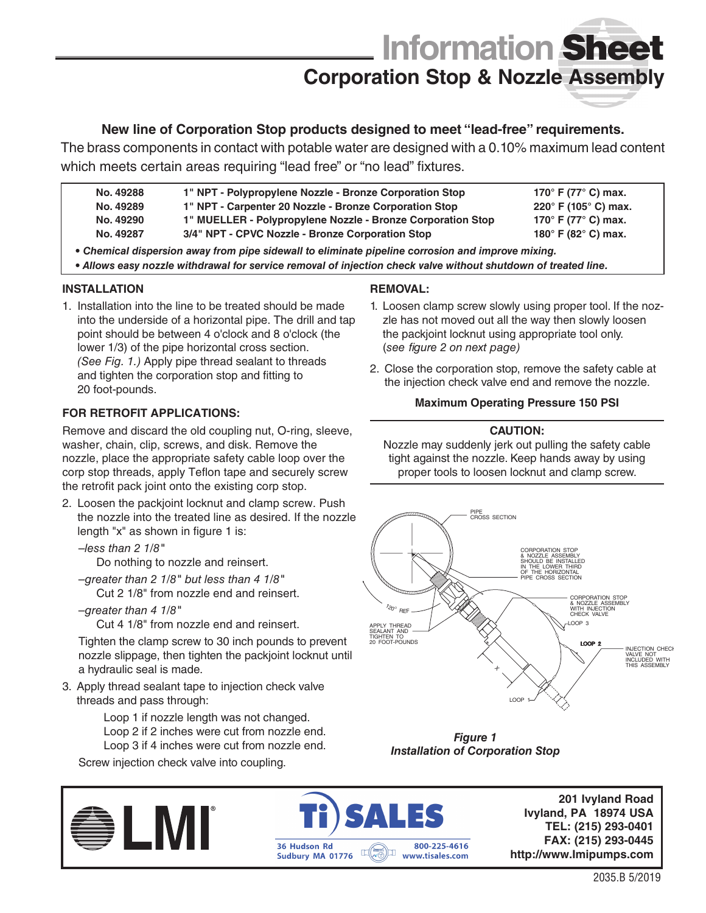# **Information** Sheet **Corporation Stop & Nozzle Assembly**

### **New line of Corporation Stop products designed to meet "lead-free" requirements.**

The brass components in contact with potable water are designed with a 0.10% maximum lead content which meets certain areas requiring "lead free" or "no lead" fixtures.

- **No. 49288 No. 49289 1" NPT - Polypropylene Nozzle - Bronze Corporation Stop 170° F (77° C) max. 220° F (105° C) max.** 
	- **No. 49290 1" NPT - Carpenter 20 Nozzle - Bronze Corporation Stop 1" MUELLER - Polypropylene Nozzle - Bronze Corporation Stop**
- **No. 49287 3/4" NPT - CPVC Nozzle - Bronze Corporation Stop**

**180° F (82° C) max.** *• Chemical dispersion away from pipe sidewall to eliminate pipeline corrosion and improve mixing.*

*• Allows easy nozzle withdrawal for service removal of injection check valve without shutdown of treated line.*

#### **INSTALLATION**

1. Installation into the line to be treated should be made into the underside of a horizontal pipe. The drill and tap point should be between 4 o'clock and 8 o'clock (the lower 1/3) of the pipe horizontal cross section. *(See Fig. 1.)* Apply pipe thread sealant to threads and tighten the corporation stop and fitting to 20 foot-pounds.

#### **FOR RETROFIT APPLICATIONS:**

Remove and discard the old coupling nut, O-ring, sleeve, washer, chain, clip, screws, and disk. Remove the nozzle, place the appropriate safety cable loop over the corp stop threads, apply Teflon tape and securely screw the retrofit pack joint onto the existing corp stop.

- 2. Loosen the packjoint locknut and clamp screw. Push the nozzle into the treated line as desired. If the nozzle length "x" as shown in figure 1 is:
	- –*less than 2 1/8"*

Do nothing to nozzle and reinsert.

- –*greater than 2 1/8" but less than 4 1/8"* Cut 2 1/8" from nozzle end and reinsert.
- –*greater than 4 1/8"*

Cut 4 1/8" from nozzle end and reinsert.

Tighten the clamp screw to 30 inch pounds to prevent nozzle slippage, then tighten the packjoint locknut until a hydraulic seal is made.

3. Apply thread sealant tape to injection check valve threads and pass through:

> Loop 1 if nozzle length was not changed. Loop 2 if 2 inches were cut from nozzle end. Loop 3 if 4 inches were cut from nozzle end.

Screw injection check valve into coupling.

#### **REMOVAL:**

1. Loosen clamp screw slowly using proper tool. If the nozzle has not moved out all the way then slowly loosen the packjoint locknut using appropriate tool only. (*see figure 2 on next page)*

**170° F (77° C) max.** 

2. Close the corporation stop, remove the safety cable at the injection check valve end and remove the nozzle.

#### **Maximum Operating Pressure 150 PSI**

#### **CAUTION:**

Nozzle may suddenly jerk out pulling the safety cable tight against the nozzle. Keep hands away by using proper tools to loosen locknut and clamp screw.



*Figure 1 Installation of Corporation Stop*





**201 Ivyland Road Ivyland, PA 18974 USA TEL: (215) 293-0401 FAX: (215) 293-0445 http://www.Imipumps.com**